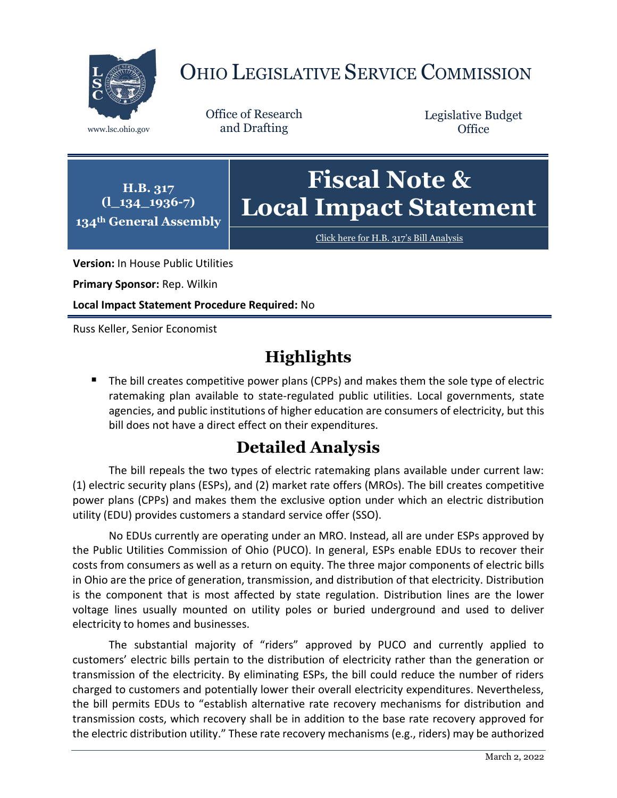

# OHIO LEGISLATIVE SERVICE COMMISSION

Office of Research www.lsc.ohio.gov and Drafting

Legislative Budget **Office** 

**H.B. 317 (l\_134\_1936-7) 134th General Assembly**

# **Fiscal Note & Local Impact Statement**

[Click here for H.B. 317](https://www.legislature.ohio.gov/legislation/legislation-documents?id=GA134-HB-317)'s Bill Analysis

**Version:** In House Public Utilities

**Primary Sponsor:** Rep. Wilkin

**Local Impact Statement Procedure Required:** No

Russ Keller, Senior Economist

## **Highlights**

The bill creates competitive power plans (CPPs) and makes them the sole type of electric ratemaking plan available to state-regulated public utilities. Local governments, state agencies, and public institutions of higher education are consumers of electricity, but this bill does not have a direct effect on their expenditures.

## **Detailed Analysis**

The bill repeals the two types of electric ratemaking plans available under current law: (1) electric security plans (ESPs), and (2) market rate offers (MROs). The bill creates competitive power plans (CPPs) and makes them the exclusive option under which an electric distribution utility (EDU) provides customers a standard service offer (SSO).

No EDUs currently are operating under an MRO. Instead, all are under ESPs approved by the Public Utilities Commission of Ohio (PUCO). In general, ESPs enable EDUs to recover their costs from consumers as well as a return on equity. The three major components of electric bills in Ohio are the price of generation, transmission, and distribution of that electricity. Distribution is the component that is most affected by state regulation. Distribution lines are the lower voltage lines usually mounted on utility poles or buried underground and used to deliver electricity to homes and businesses.

The substantial majority of "riders" approved by PUCO and currently applied to customers' electric bills pertain to the distribution of electricity rather than the generation or transmission of the electricity. By eliminating ESPs, the bill could reduce the number of riders charged to customers and potentially lower their overall electricity expenditures. Nevertheless, the bill permits EDUs to "establish alternative rate recovery mechanisms for distribution and transmission costs, which recovery shall be in addition to the base rate recovery approved for the electric distribution utility." These rate recovery mechanisms (e.g., riders) may be authorized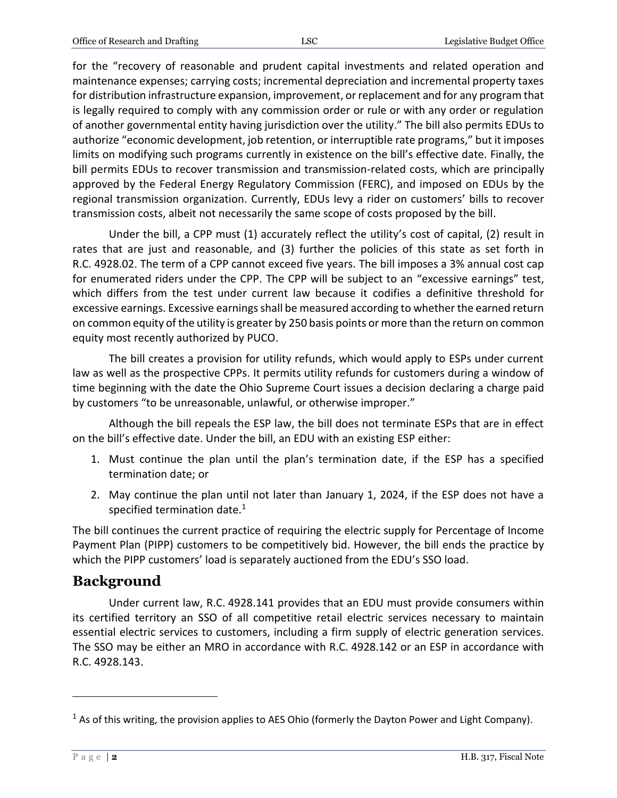for the "recovery of reasonable and prudent capital investments and related operation and maintenance expenses; carrying costs; incremental depreciation and incremental property taxes for distribution infrastructure expansion, improvement, or replacement and for any program that is legally required to comply with any commission order or rule or with any order or regulation of another governmental entity having jurisdiction over the utility." The bill also permits EDUs to authorize "economic development, job retention, or interruptible rate programs," but it imposes limits on modifying such programs currently in existence on the bill's effective date. Finally, the bill permits EDUs to recover transmission and transmission-related costs, which are principally approved by the Federal Energy Regulatory Commission (FERC), and imposed on EDUs by the regional transmission organization. Currently, EDUs levy a rider on customers' bills to recover transmission costs, albeit not necessarily the same scope of costs proposed by the bill.

Under the bill, a CPP must (1) accurately reflect the utility's cost of capital, (2) result in rates that are just and reasonable, and (3) further the policies of this state as set forth in R.C. 4928.02. The term of a CPP cannot exceed five years. The bill imposes a 3% annual cost cap for enumerated riders under the CPP. The CPP will be subject to an "excessive earnings" test, which differs from the test under current law because it codifies a definitive threshold for excessive earnings. Excessive earnings shall be measured according to whether the earned return on common equity of the utility is greater by 250 basis points or more than the return on common equity most recently authorized by PUCO.

The bill creates a provision for utility refunds, which would apply to ESPs under current law as well as the prospective CPPs. It permits utility refunds for customers during a window of time beginning with the date the Ohio Supreme Court issues a decision declaring a charge paid by customers "to be unreasonable, unlawful, or otherwise improper."

Although the bill repeals the ESP law, the bill does not terminate ESPs that are in effect on the bill's effective date. Under the bill, an EDU with an existing ESP either:

- 1. Must continue the plan until the plan's termination date, if the ESP has a specified termination date; or
- 2. May continue the plan until not later than January 1, 2024, if the ESP does not have a specified termination date. $1$

The bill continues the current practice of requiring the electric supply for Percentage of Income Payment Plan (PIPP) customers to be competitively bid. However, the bill ends the practice by which the PIPP customers' load is separately auctioned from the EDU's SSO load.

### **Background**

Under current law, R.C. 4928.141 provides that an EDU must provide consumers within its certified territory an SSO of all competitive retail electric services necessary to maintain essential electric services to customers, including a firm supply of electric generation services. The SSO may be either an MRO in accordance with R.C. 4928.142 or an ESP in accordance with R.C. 4928.143.

 $\overline{a}$ 

 $<sup>1</sup>$  As of this writing, the provision applies to AES Ohio (formerly the Dayton Power and Light Company).</sup>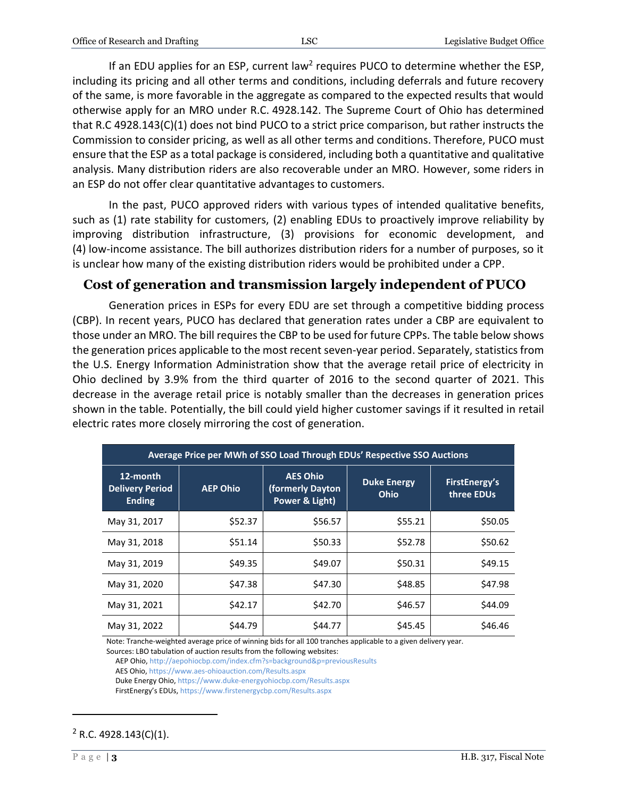If an EDU applies for an ESP, current law<sup>2</sup> requires PUCO to determine whether the ESP, including its pricing and all other terms and conditions, including deferrals and future recovery of the same, is more favorable in the aggregate as compared to the expected results that would otherwise apply for an MRO under R.C. 4928.142. The Supreme Court of Ohio has determined that R.C 4928.143(C)(1) does not bind PUCO to a strict price comparison, but rather instructs the Commission to consider pricing, as well as all other terms and conditions. Therefore, PUCO must ensure that the ESP as a total package is considered, including both a quantitative and qualitative analysis. Many distribution riders are also recoverable under an MRO. However, some riders in an ESP do not offer clear quantitative advantages to customers.

In the past, PUCO approved riders with various types of intended qualitative benefits, such as (1) rate stability for customers, (2) enabling EDUs to proactively improve reliability by improving distribution infrastructure, (3) provisions for economic development, and (4) low-income assistance. The bill authorizes distribution riders for a number of purposes, so it is unclear how many of the existing distribution riders would be prohibited under a CPP.

### **Cost of generation and transmission largely independent of PUCO**

Generation prices in ESPs for every EDU are set through a competitive bidding process (CBP). In recent years, PUCO has declared that generation rates under a CBP are equivalent to those under an MRO. The bill requires the CBP to be used for future CPPs. The table below shows the generation prices applicable to the most recent seven-year period. Separately, statistics from the U.S. Energy Information Administration show that the average retail price of electricity in Ohio declined by 3.9% from the third quarter of 2016 to the second quarter of 2021. This decrease in the average retail price is notably smaller than the decreases in generation prices shown in the table. Potentially, the bill could yield higher customer savings if it resulted in retail electric rates more closely mirroring the cost of generation.

| Average Price per MWh of SSO Load Through EDUs' Respective SSO Auctions |                 |                                                       |                            |                             |
|-------------------------------------------------------------------------|-----------------|-------------------------------------------------------|----------------------------|-----------------------------|
| 12-month<br><b>Delivery Period</b><br><b>Ending</b>                     | <b>AEP Ohio</b> | <b>AES Ohio</b><br>(formerly Dayton<br>Power & Light) | <b>Duke Energy</b><br>Ohio | FirstEnergy's<br>three EDUs |
| May 31, 2017                                                            | \$52.37         | \$56.57                                               | \$55.21                    | \$50.05                     |
| May 31, 2018                                                            | \$51.14         | \$50.33                                               | \$52.78                    | \$50.62                     |
| May 31, 2019                                                            | \$49.35         | \$49.07                                               | \$50.31                    | \$49.15                     |
| May 31, 2020                                                            | \$47.38         | \$47.30                                               | \$48.85                    | \$47.98                     |
| May 31, 2021                                                            | \$42.17         | \$42.70                                               | \$46.57                    | \$44.09                     |
| May 31, 2022                                                            | \$44.79         | \$44.77                                               | \$45.45                    | \$46.46                     |

Note: Tranche-weighted average price of winning bids for all 100 tranches applicable to a given delivery year. Sources: LBO tabulation of auction results from the following websites:

AEP Ohio[, http://aepohiocbp.com/index.cfm?s=background&p=previousResults](http://aepohiocbp.com/index.cfm?s=background&p=previousResults)

AES Ohio[, https://www.aes-ohioauction.com/Results.aspx](https://www.aes-ohioauction.com/Results.aspx)

Duke Energy Ohio[, https://www.duke-energyohiocbp.com/Results.aspx](https://www.duke-energyohiocbp.com/Results.aspx)

FirstEnergy's EDUs[, https://www.firstenergycbp.com/Results.aspx](https://www.firstenergycbp.com/Results.aspx)

#### $2$  R.C. 4928.143(C)(1).

 $\overline{a}$